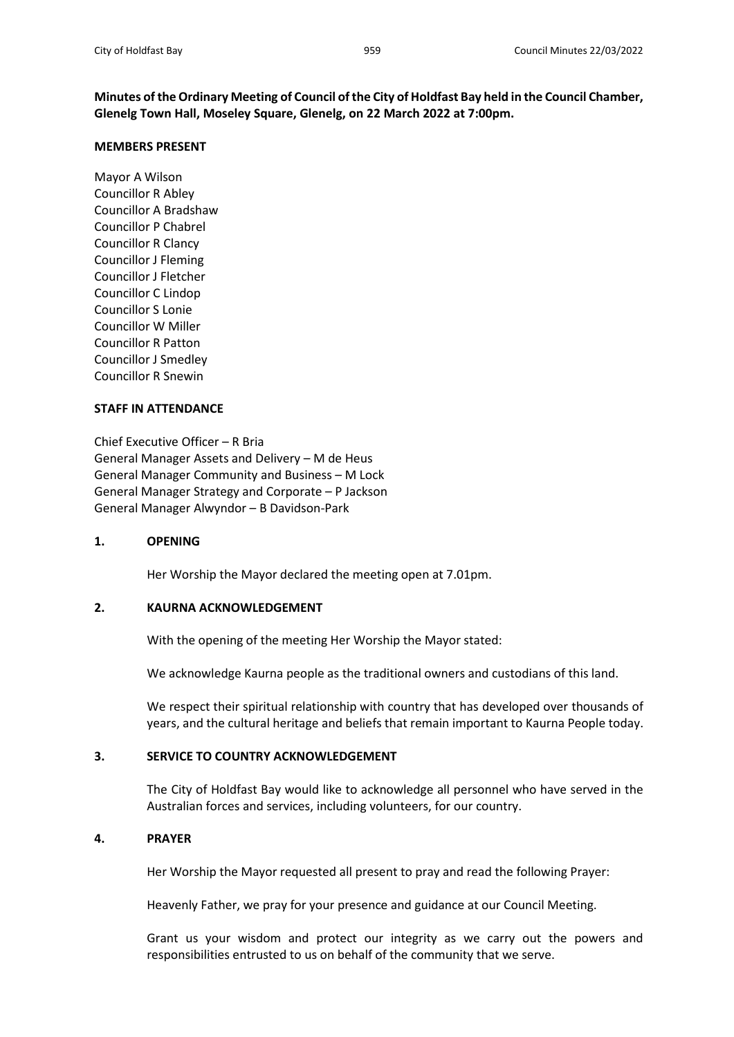**Minutes of the Ordinary Meeting of Council of the City of Holdfast Bay held in the Council Chamber, Glenelg Town Hall, Moseley Square, Glenelg, on 22 March 2022 at 7:00pm.**

### **MEMBERS PRESENT**

Mayor A Wilson Councillor R Abley Councillor A Bradshaw Councillor P Chabrel Councillor R Clancy Councillor J Fleming Councillor J Fletcher Councillor C Lindop Councillor S Lonie Councillor W Miller Councillor R Patton Councillor J Smedley Councillor R Snewin

### **STAFF IN ATTENDANCE**

Chief Executive Officer – R Bria General Manager Assets and Delivery – M de Heus General Manager Community and Business – M Lock General Manager Strategy and Corporate – P Jackson General Manager Alwyndor – B Davidson-Park

## **1. OPENING**

Her Worship the Mayor declared the meeting open at 7.01pm.

## **2. KAURNA ACKNOWLEDGEMENT**

With the opening of the meeting Her Worship the Mayor stated:

We acknowledge Kaurna people as the traditional owners and custodians of this land.

We respect their spiritual relationship with country that has developed over thousands of years, and the cultural heritage and beliefs that remain important to Kaurna People today.

## **3. SERVICE TO COUNTRY ACKNOWLEDGEMENT**

The City of Holdfast Bay would like to acknowledge all personnel who have served in the Australian forces and services, including volunteers, for our country.

## **4. PRAYER**

Her Worship the Mayor requested all present to pray and read the following Prayer:

Heavenly Father, we pray for your presence and guidance at our Council Meeting.

Grant us your wisdom and protect our integrity as we carry out the powers and responsibilities entrusted to us on behalf of the community that we serve.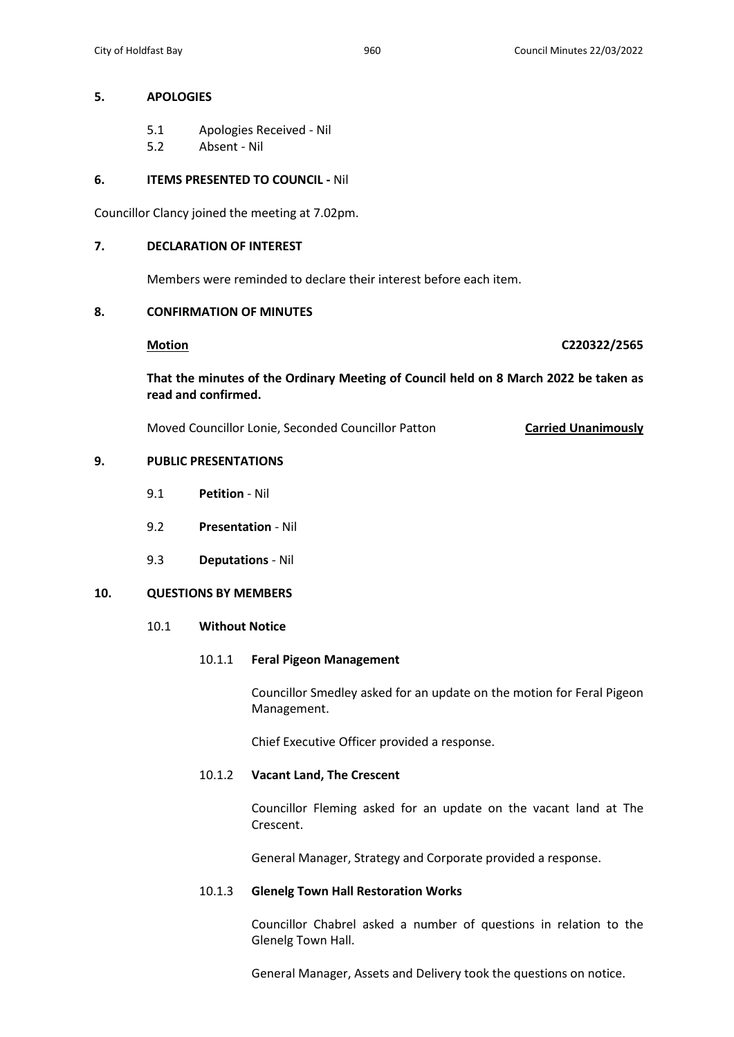## **5. APOLOGIES**

- 5.1 Apologies Received Nil
- 5.2 Absent Nil

## **6. ITEMS PRESENTED TO COUNCIL -** Nil

Councillor Clancy joined the meeting at 7.02pm.

## **7. DECLARATION OF INTEREST**

Members were reminded to declare their interest before each item.

## **8. CONFIRMATION OF MINUTES**

**Motion C220322/2565**

**That the minutes of the Ordinary Meeting of Council held on 8 March 2022 be taken as read and confirmed.**

Moved Councillor Lonie, Seconded Councillor Patton **Carried Unanimously**

# **9. PUBLIC PRESENTATIONS**

- 9.1 **Petition**  Nil
- 9.2 **Presentation** Nil
- 9.3 **Deputations** Nil

## **10. QUESTIONS BY MEMBERS**

## 10.1 **Without Notice**

## 10.1.1 **Feral Pigeon Management**

Councillor Smedley asked for an update on the motion for Feral Pigeon Management.

Chief Executive Officer provided a response.

## 10.1.2 **Vacant Land, The Crescent**

Councillor Fleming asked for an update on the vacant land at The Crescent.

General Manager, Strategy and Corporate provided a response.

## 10.1.3 **Glenelg Town Hall Restoration Works**

Councillor Chabrel asked a number of questions in relation to the Glenelg Town Hall.

General Manager, Assets and Delivery took the questions on notice.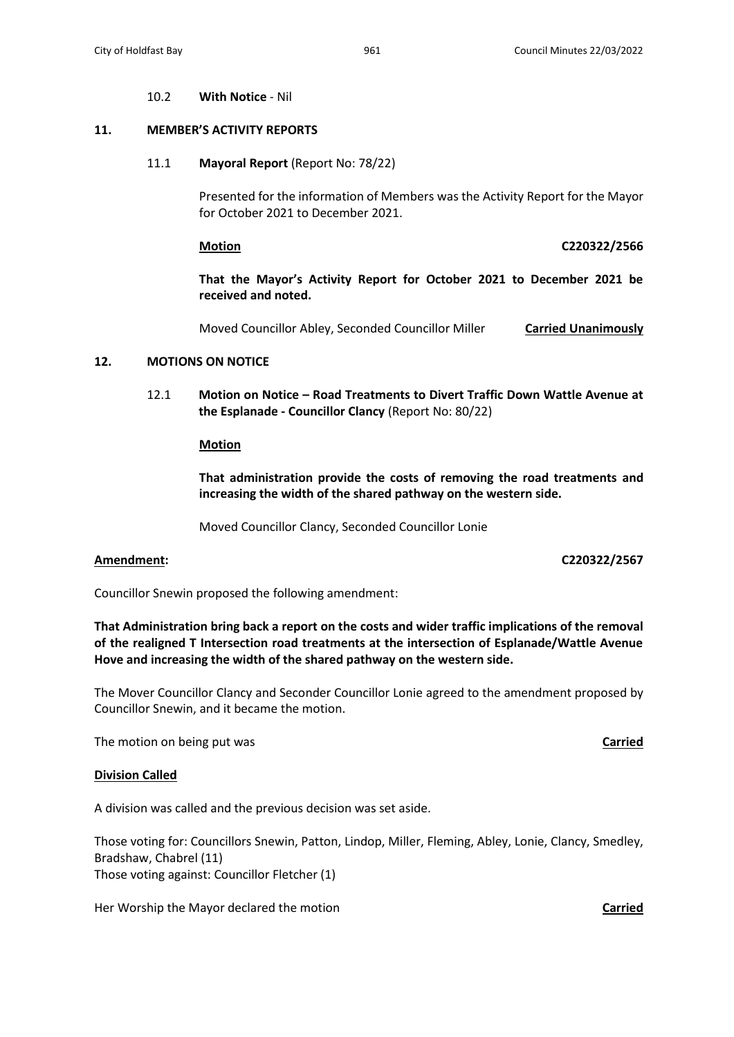### 10.2 **With Notice** - Nil

## **11. MEMBER'S ACTIVITY REPORTS**

### 11.1 **Mayoral Report** (Report No: 78/22)

Presented for the information of Members was the Activity Report for the Mayor for October 2021 to December 2021.

**Motion C220322/2566**

**That the Mayor's Activity Report for October 2021 to December 2021 be received and noted.**

Moved Councillor Abley, Seconded Councillor Miller **Carried Unanimously**

# **12. MOTIONS ON NOTICE**

12.1 **Motion on Notice – Road Treatments to Divert Traffic Down Wattle Avenue at the Esplanade - Councillor Clancy** (Report No: 80/22)

### **Motion**

**That administration provide the costs of removing the road treatments and increasing the width of the shared pathway on the western side.**

Moved Councillor Clancy, Seconded Councillor Lonie

**Amendment: C220322/2567**

Councillor Snewin proposed the following amendment:

**That Administration bring back a report on the costs and wider traffic implications of the removal of the realigned T Intersection road treatments at the intersection of Esplanade/Wattle Avenue Hove and increasing the width of the shared pathway on the western side.**

The Mover Councillor Clancy and Seconder Councillor Lonie agreed to the amendment proposed by Councillor Snewin, and it became the motion.

The motion on being put was **Carried**

### **Division Called**

A division was called and the previous decision was set aside.

Those voting for: Councillors Snewin, Patton, Lindop, Miller, Fleming, Abley, Lonie, Clancy, Smedley, Bradshaw, Chabrel (11) Those voting against: Councillor Fletcher (1)

Her Worship the Mayor declared the motion **Carried Carried**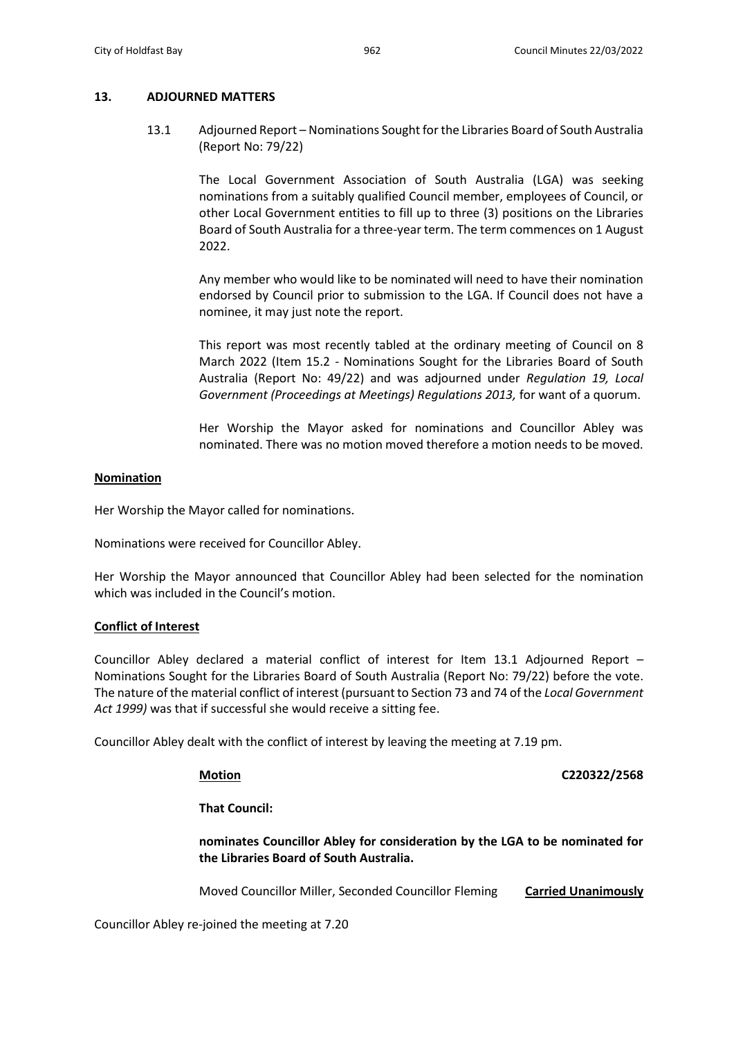## **13. ADJOURNED MATTERS**

13.1 Adjourned Report – Nominations Sought for the Libraries Board of South Australia (Report No: 79/22)

> The Local Government Association of South Australia (LGA) was seeking nominations from a suitably qualified Council member, employees of Council, or other Local Government entities to fill up to three (3) positions on the Libraries Board of South Australia for a three-year term. The term commences on 1 August 2022.

> Any member who would like to be nominated will need to have their nomination endorsed by Council prior to submission to the LGA. If Council does not have a nominee, it may just note the report.

> This report was most recently tabled at the ordinary meeting of Council on 8 March 2022 (Item 15.2 - Nominations Sought for the Libraries Board of South Australia (Report No: 49/22) and was adjourned under *Regulation 19, Local Government (Proceedings at Meetings) Regulations 2013,* for want of a quorum.

> Her Worship the Mayor asked for nominations and Councillor Abley was nominated. There was no motion moved therefore a motion needs to be moved.

## **Nomination**

Her Worship the Mayor called for nominations.

Nominations were received for Councillor Abley.

Her Worship the Mayor announced that Councillor Abley had been selected for the nomination which was included in the Council's motion.

# **Conflict of Interest**

Councillor Abley declared a material conflict of interest for Item 13.1 Adjourned Report – Nominations Sought for the Libraries Board of South Australia (Report No: 79/22) before the vote. The nature of the material conflict of interest (pursuant to Section 73 and 74 of the *Local Government Act 1999)* was that if successful she would receive a sitting fee.

Councillor Abley dealt with the conflict of interest by leaving the meeting at 7.19 pm.

**Motion C220322/2568**

**That Council:**

**nominates Councillor Abley for consideration by the LGA to be nominated for the Libraries Board of South Australia.**

Moved Councillor Miller, Seconded Councillor Fleming **Carried Unanimously**

Councillor Abley re-joined the meeting at 7.20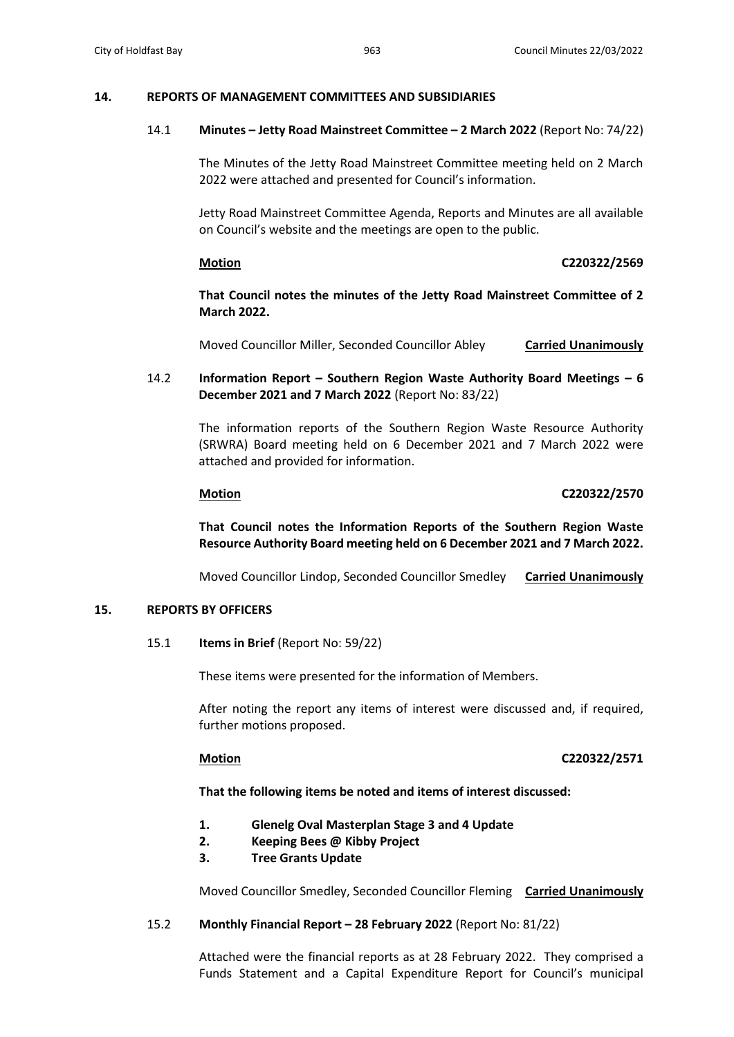### **14. REPORTS OF MANAGEMENT COMMITTEES AND SUBSIDIARIES**

### 14.1 **Minutes – Jetty Road Mainstreet Committee – 2 March 2022** (Report No: 74/22)

The Minutes of the Jetty Road Mainstreet Committee meeting held on 2 March 2022 were attached and presented for Council's information.

Jetty Road Mainstreet Committee Agenda, Reports and Minutes are all available on Council's website and the meetings are open to the public.

### **Motion C220322/2569**

**That Council notes the minutes of the Jetty Road Mainstreet Committee of 2 March 2022.**

Moved Councillor Miller, Seconded Councillor Abley **Carried Unanimously**

14.2 **Information Report – Southern Region Waste Authority Board Meetings – 6 December 2021 and 7 March 2022** (Report No: 83/22)

> The information reports of the Southern Region Waste Resource Authority (SRWRA) Board meeting held on 6 December 2021 and 7 March 2022 were attached and provided for information.

## **Motion C220322/2570**

**That Council notes the Information Reports of the Southern Region Waste Resource Authority Board meeting held on 6 December 2021 and 7 March 2022.**

Moved Councillor Lindop, Seconded Councillor Smedley **Carried Unanimously**

### **15. REPORTS BY OFFICERS**

15.1 **Items in Brief** (Report No: 59/22)

These items were presented for the information of Members.

After noting the report any items of interest were discussed and, if required, further motions proposed.

## **Motion C220322/2571**

## **That the following items be noted and items of interest discussed:**

- **1. Glenelg Oval Masterplan Stage 3 and 4 Update**
- **2. Keeping Bees @ Kibby Project**
- **3. Tree Grants Update**

Moved Councillor Smedley, Seconded Councillor Fleming **Carried Unanimously**

## 15.2 **Monthly Financial Report – 28 February 2022** (Report No: 81/22)

Attached were the financial reports as at 28 February 2022. They comprised a Funds Statement and a Capital Expenditure Report for Council's municipal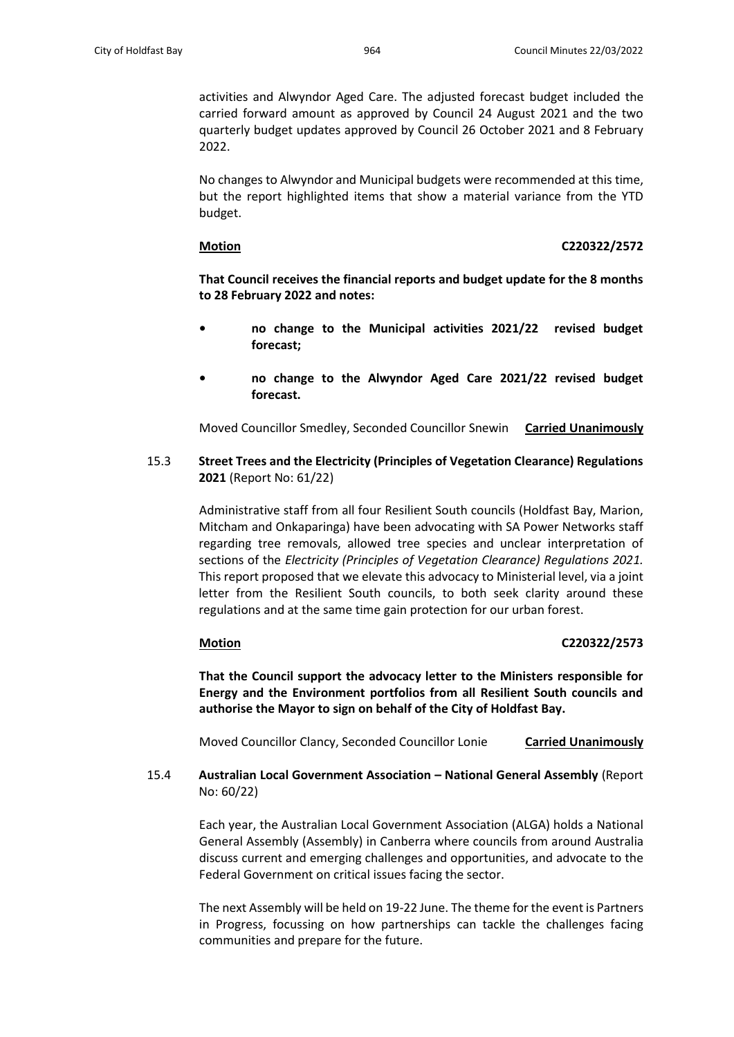activities and Alwyndor Aged Care. The adjusted forecast budget included the carried forward amount as approved by Council 24 August 2021 and the two quarterly budget updates approved by Council 26 October 2021 and 8 February 2022.

No changes to Alwyndor and Municipal budgets were recommended at this time, but the report highlighted items that show a material variance from the YTD budget.

### **Motion C220322/2572**

**That Council receives the financial reports and budget update for the 8 months to 28 February 2022 and notes:**

- **• no change to the Municipal activities 2021/22 revised budget forecast;**
- **• no change to the Alwyndor Aged Care 2021/22 revised budget forecast.**

Moved Councillor Smedley, Seconded Councillor Snewin **Carried Unanimously**

15.3 **Street Trees and the Electricity (Principles of Vegetation Clearance) Regulations 2021** (Report No: 61/22)

> Administrative staff from all four Resilient South councils (Holdfast Bay, Marion, Mitcham and Onkaparinga) have been advocating with SA Power Networks staff regarding tree removals, allowed tree species and unclear interpretation of sections of the *Electricity (Principles of Vegetation Clearance) Regulations 2021.* This report proposed that we elevate this advocacy to Ministerial level, via a joint letter from the Resilient South councils, to both seek clarity around these regulations and at the same time gain protection for our urban forest.

## **Motion C220322/2573**

**That the Council support the advocacy letter to the Ministers responsible for Energy and the Environment portfolios from all Resilient South councils and authorise the Mayor to sign on behalf of the City of Holdfast Bay.**

Moved Councillor Clancy, Seconded Councillor Lonie **Carried Unanimously**

15.4 **Australian Local Government Association – National General Assembly** (Report No: 60/22)

> Each year, the Australian Local Government Association (ALGA) holds a National General Assembly (Assembly) in Canberra where councils from around Australia discuss current and emerging challenges and opportunities, and advocate to the Federal Government on critical issues facing the sector.

> The next Assembly will be held on 19-22 June. The theme for the event is Partners in Progress, focussing on how partnerships can tackle the challenges facing communities and prepare for the future.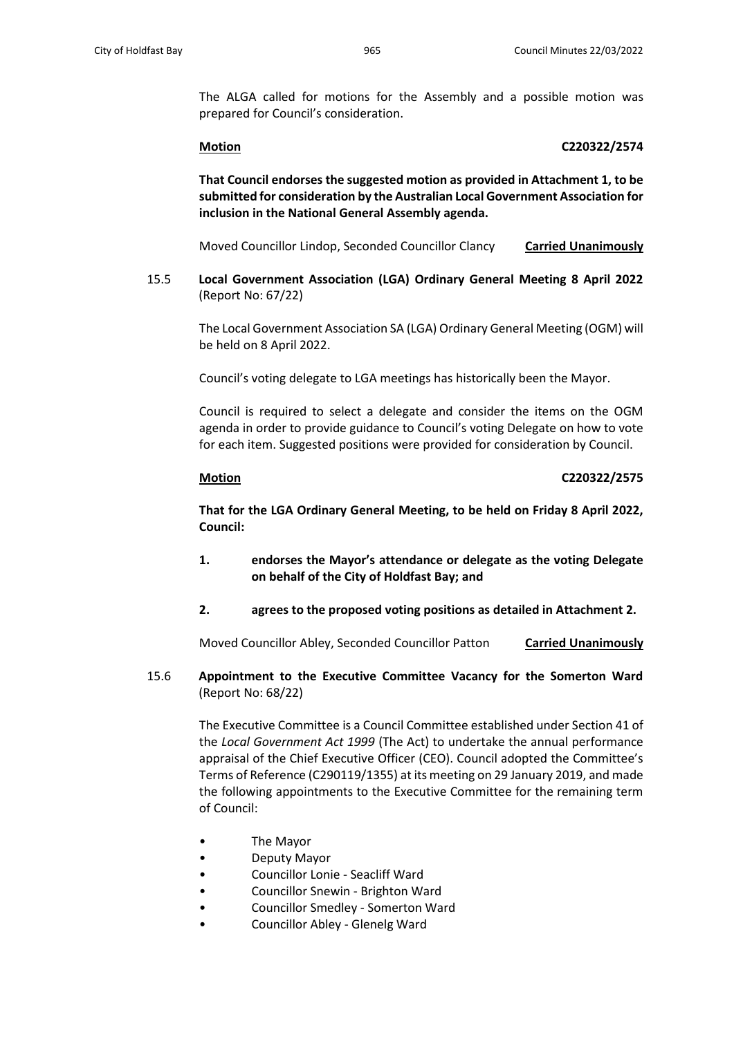The ALGA called for motions for the Assembly and a possible motion was prepared for Council's consideration.

### **Motion C220322/2574**

**That Council endorses the suggested motion as provided in Attachment 1, to be submitted for consideration by the Australian Local Government Association for inclusion in the National General Assembly agenda.**

Moved Councillor Lindop, Seconded Councillor Clancy **Carried Unanimously**

15.5 **Local Government Association (LGA) Ordinary General Meeting 8 April 2022**  (Report No: 67/22)

The Local Government Association SA (LGA) Ordinary General Meeting (OGM) will be held on 8 April 2022.

Council's voting delegate to LGA meetings has historically been the Mayor.

Council is required to select a delegate and consider the items on the OGM agenda in order to provide guidance to Council's voting Delegate on how to vote for each item. Suggested positions were provided for consideration by Council.

### **Motion C220322/2575**

**That for the LGA Ordinary General Meeting, to be held on Friday 8 April 2022, Council:**

- **1. endorses the Mayor's attendance or delegate as the voting Delegate on behalf of the City of Holdfast Bay; and**
- **2. agrees to the proposed voting positions as detailed in Attachment 2.**

Moved Councillor Abley, Seconded Councillor Patton **Carried Unanimously**

15.6 **Appointment to the Executive Committee Vacancy for the Somerton Ward**  (Report No: 68/22)

> The Executive Committee is a Council Committee established under Section 41 of the *Local Government Act 1999* (The Act) to undertake the annual performance appraisal of the Chief Executive Officer (CEO). Council adopted the Committee's Terms of Reference (C290119/1355) at its meeting on 29 January 2019, and made the following appointments to the Executive Committee for the remaining term of Council:

- The Mayor
- Deputy Mayor
- Councillor Lonie Seacliff Ward
- Councillor Snewin Brighton Ward
- Councillor Smedley Somerton Ward
- Councillor Abley Glenelg Ward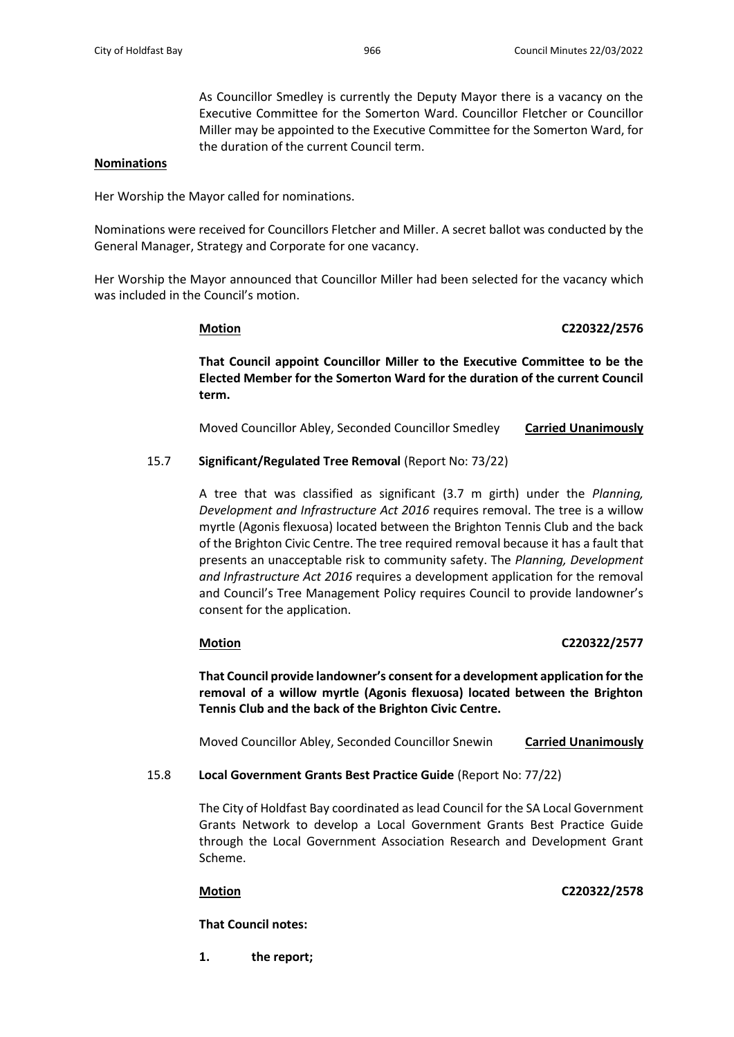As Councillor Smedley is currently the Deputy Mayor there is a vacancy on the Executive Committee for the Somerton Ward. Councillor Fletcher or Councillor Miller may be appointed to the Executive Committee for the Somerton Ward, for the duration of the current Council term.

### **Nominations**

Her Worship the Mayor called for nominations.

Nominations were received for Councillors Fletcher and Miller. A secret ballot was conducted by the General Manager, Strategy and Corporate for one vacancy.

Her Worship the Mayor announced that Councillor Miller had been selected for the vacancy which was included in the Council's motion.

## **Motion C220322/2576**

**That Council appoint Councillor Miller to the Executive Committee to be the Elected Member for the Somerton Ward for the duration of the current Council term.**

Moved Councillor Abley, Seconded Councillor Smedley **Carried Unanimously**

### 15.7 **Significant/Regulated Tree Removal** (Report No: 73/22)

A tree that was classified as significant (3.7 m girth) under the *Planning, Development and Infrastructure Act 2016* requires removal. The tree is a willow myrtle (Agonis flexuosa) located between the Brighton Tennis Club and the back of the Brighton Civic Centre. The tree required removal because it has a fault that presents an unacceptable risk to community safety. The *Planning, Development and Infrastructure Act 2016* requires a development application for the removal and Council's Tree Management Policy requires Council to provide landowner's consent for the application.

### **Motion C220322/2577**

**That Council provide landowner's consent for a development application for the removal of a willow myrtle (Agonis flexuosa) located between the Brighton Tennis Club and the back of the Brighton Civic Centre.**

Moved Councillor Abley, Seconded Councillor Snewin **Carried Unanimously**

## 15.8 **Local Government Grants Best Practice Guide** (Report No: 77/22)

The City of Holdfast Bay coordinated as lead Council for the SA Local Government Grants Network to develop a Local Government Grants Best Practice Guide through the Local Government Association Research and Development Grant Scheme.

**Motion C220322/2578**

**That Council notes:**

**1. the report;**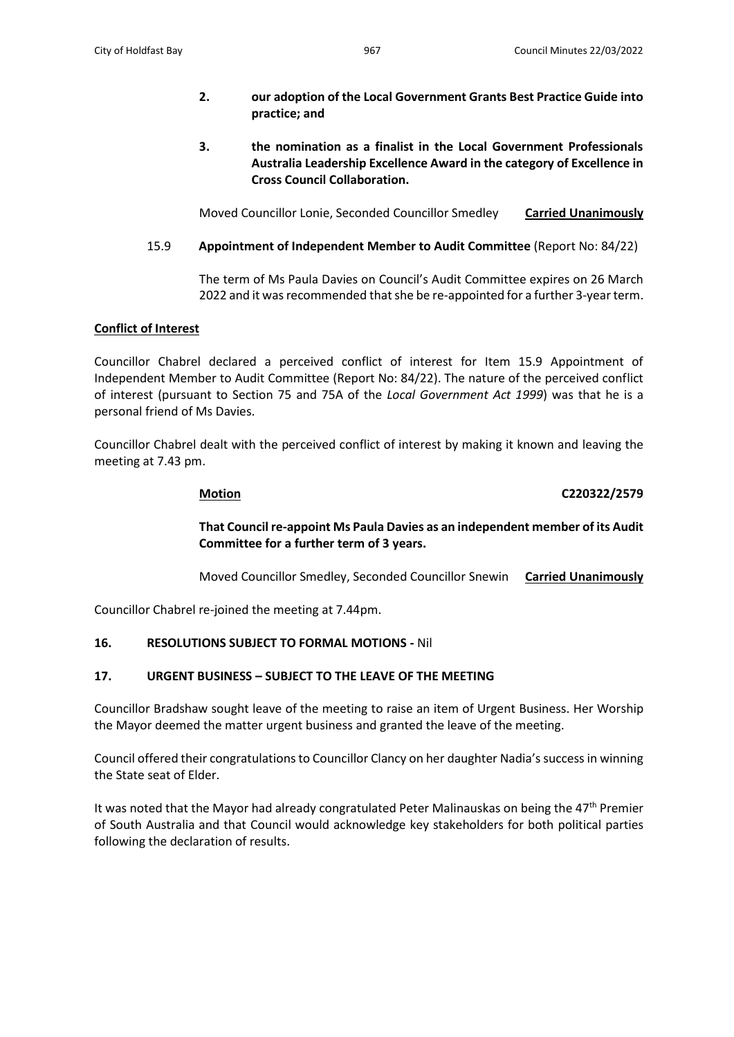# **2. our adoption of the Local Government Grants Best Practice Guide into practice; and**

**3. the nomination as a finalist in the Local Government Professionals Australia Leadership Excellence Award in the category of Excellence in Cross Council Collaboration.**

Moved Councillor Lonie, Seconded Councillor Smedley **Carried Unanimously**

# 15.9 **Appointment of Independent Member to Audit Committee** (Report No: 84/22)

The term of Ms Paula Davies on Council's Audit Committee expires on 26 March 2022 and it was recommended that she be re-appointed for a further 3-year term.

# **Conflict of Interest**

Councillor Chabrel declared a perceived conflict of interest for Item 15.9 Appointment of Independent Member to Audit Committee (Report No: 84/22). The nature of the perceived conflict of interest (pursuant to Section 75 and 75A of the *Local Government Act 1999*) was that he is a personal friend of Ms Davies.

Councillor Chabrel dealt with the perceived conflict of interest by making it known and leaving the meeting at 7.43 pm.

# **Motion C220322/2579**

# **That Council re-appoint Ms Paula Davies as an independent member of its Audit Committee for a further term of 3 years.**

Moved Councillor Smedley, Seconded Councillor Snewin **Carried Unanimously**

Councillor Chabrel re-joined the meeting at 7.44pm.

# **16. RESOLUTIONS SUBJECT TO FORMAL MOTIONS -** Nil

# **17. URGENT BUSINESS – SUBJECT TO THE LEAVE OF THE MEETING**

Councillor Bradshaw sought leave of the meeting to raise an item of Urgent Business. Her Worship the Mayor deemed the matter urgent business and granted the leave of the meeting.

Council offered their congratulations to Councillor Clancy on her daughter Nadia's successin winning the State seat of Elder.

It was noted that the Mayor had already congratulated Peter Malinauskas on being the  $47<sup>th</sup>$  Premier of South Australia and that Council would acknowledge key stakeholders for both political parties following the declaration of results.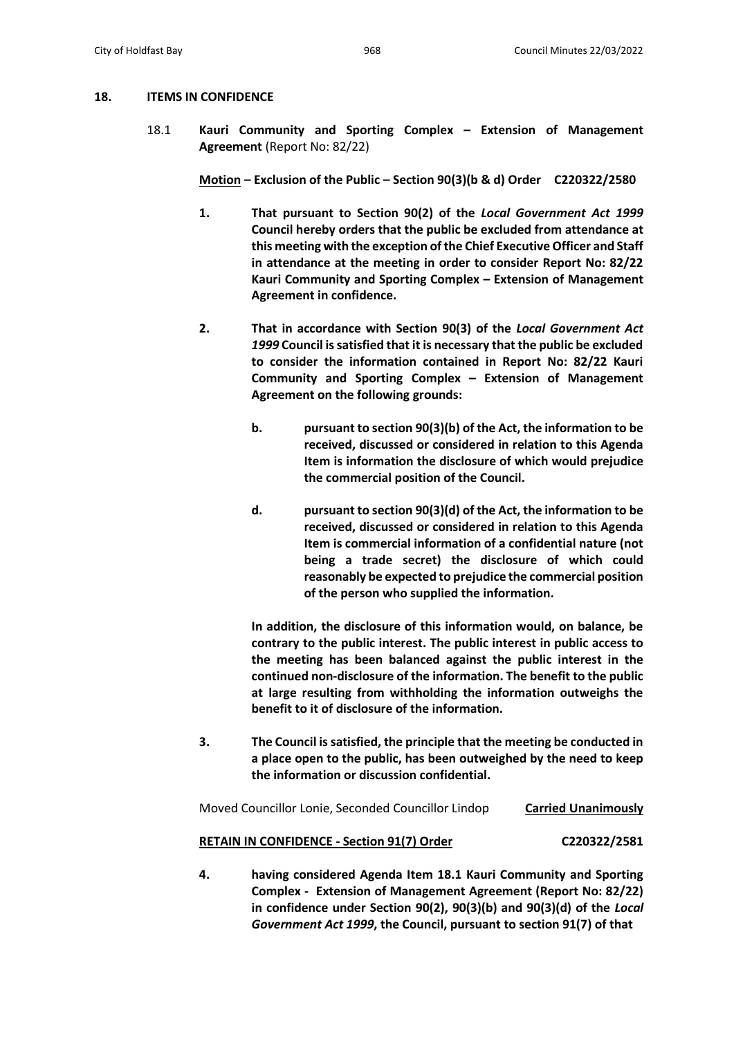## **18. ITEMS IN CONFIDENCE**

18.1 **Kauri Community and Sporting Complex – Extension of Management Agreement** (Report No: 82/22)

**Motion – Exclusion of the Public – Section 90(3)(b & d) Order C220322/2580**

- **1. That pursuant to Section 90(2) of the** *Local Government Act 1999* **Council hereby orders that the public be excluded from attendance at this meeting with the exception of the Chief Executive Officer and Staff in attendance at the meeting in order to consider Report No: 82/22 Kauri Community and Sporting Complex – Extension of Management Agreement in confidence.**
- **2. That in accordance with Section 90(3) of the** *Local Government Act 1999* **Council is satisfied that it is necessary that the public be excluded to consider the information contained in Report No: 82/22 Kauri Community and Sporting Complex – Extension of Management Agreement on the following grounds:**
	- **b. pursuant to section 90(3)(b) of the Act, the information to be received, discussed or considered in relation to this Agenda Item is information the disclosure of which would prejudice the commercial position of the Council.**
	- **d. pursuant to section 90(3)(d) of the Act, the information to be received, discussed or considered in relation to this Agenda Item is commercial information of a confidential nature (not being a trade secret) the disclosure of which could reasonably be expected to prejudice the commercial position of the person who supplied the information.**

**In addition, the disclosure of this information would, on balance, be contrary to the public interest. The public interest in public access to the meeting has been balanced against the public interest in the continued non-disclosure of the information. The benefit to the public at large resulting from withholding the information outweighs the benefit to it of disclosure of the information.** 

**3. The Council is satisfied, the principle that the meeting be conducted in a place open to the public, has been outweighed by the need to keep the information or discussion confidential.**

Moved Councillor Lonie, Seconded Councillor Lindop **Carried Unanimously**

# **RETAIN IN CONFIDENCE - Section 91(7) Order C220322/2581**

**4. having considered Agenda Item 18.1 Kauri Community and Sporting Complex - Extension of Management Agreement (Report No: 82/22) in confidence under Section 90(2), 90(3)(b) and 90(3)(d) of the** *Local Government Act 1999***, the Council, pursuant to section 91(7) of that**